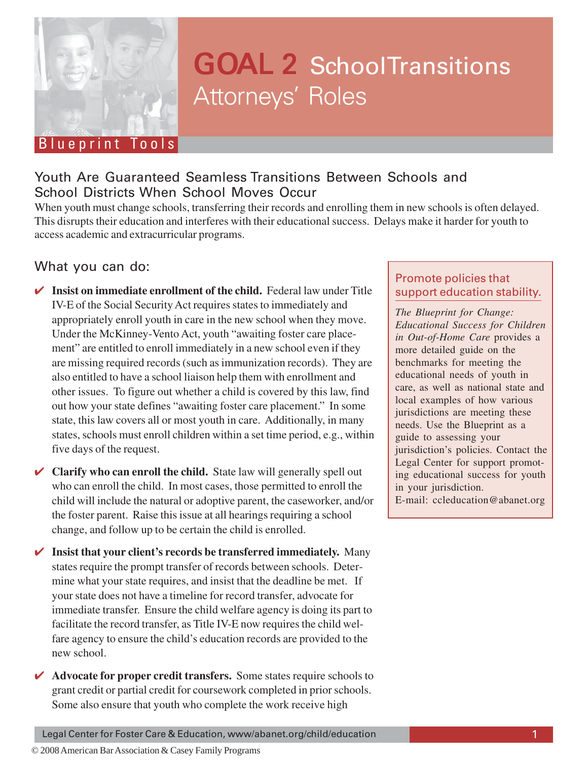

# GOAL 2 School Transitions Attorneys' Roles

# Youth Are Guaranteed Seamless fransitions<br>School Districts When School Moves Occur Youth Are Guaranteed Seamless Transitions Between Schools and

When youth must change schools, transferring their records and enrolling them in new schools is often delayed. This disrupts their education and interferes with their educational success. Delays make it harder for youth to access academic and extracurricular programs.

## What you can do:

- ✔ **Insist on immediate enrollment of the child.** Federal law under Title IV-E of the Social Security Act requires states to immediately and appropriately enroll youth in care in the new school when they move. Under the McKinney-Vento Act, youth "awaiting foster care placement" are entitled to enroll immediately in a new school even if they are missing required records (such as immunization records). They are also entitled to have a school liaison help them with enrollment and other issues. To figure out whether a child is covered by this law, find out how your state defines "awaiting foster care placement." In some state, this law covers all or most youth in care. Additionally, in many states, schools must enroll children within a set time period, e.g., within five days of the request.
- **✓ Clarify who can enroll the child.** State law will generally spell out who can enroll the child. In most cases, those permitted to enroll the child will include the natural or adoptive parent, the caseworker, and/or the foster parent. Raise this issue at all hearings requiring a school change, and follow up to be certain the child is enrolled.
- ✔ **Insist that your client's records be transferred immediately.** Many states require the prompt transfer of records between schools. Determine what your state requires, and insist that the deadline be met. If your state does not have a timeline for record transfer, advocate for immediate transfer. Ensure the child welfare agency is doing its part to facilitate the record transfer, as Title IV-E now requires the child welfare agency to ensure the child's education records are provided to the new school.
- ✔ **Advocate for proper credit transfers.** Some states require schools to grant credit or partial credit for coursework completed in prior schools. Some also ensure that youth who complete the work receive high

## Promote policies that support education stability.

*The Blueprint for Change: Educational Success for Children in Out-of-Home Care* provides a more detailed guide on the benchmarks for meeting the educational needs of youth in care, as well as national state and local examples of how various jurisdictions are meeting these needs. Use the Blueprint as a guide to assessing your jurisdiction's policies. Contact the Legal Center for support promoting educational success for youth in your jurisdiction. E-mail: ccleducation@abanet.org

Legal Center for Foster Care & Education, www/abanet.org/child/education 1

© 2008 American Bar Association & Casey Family Programs